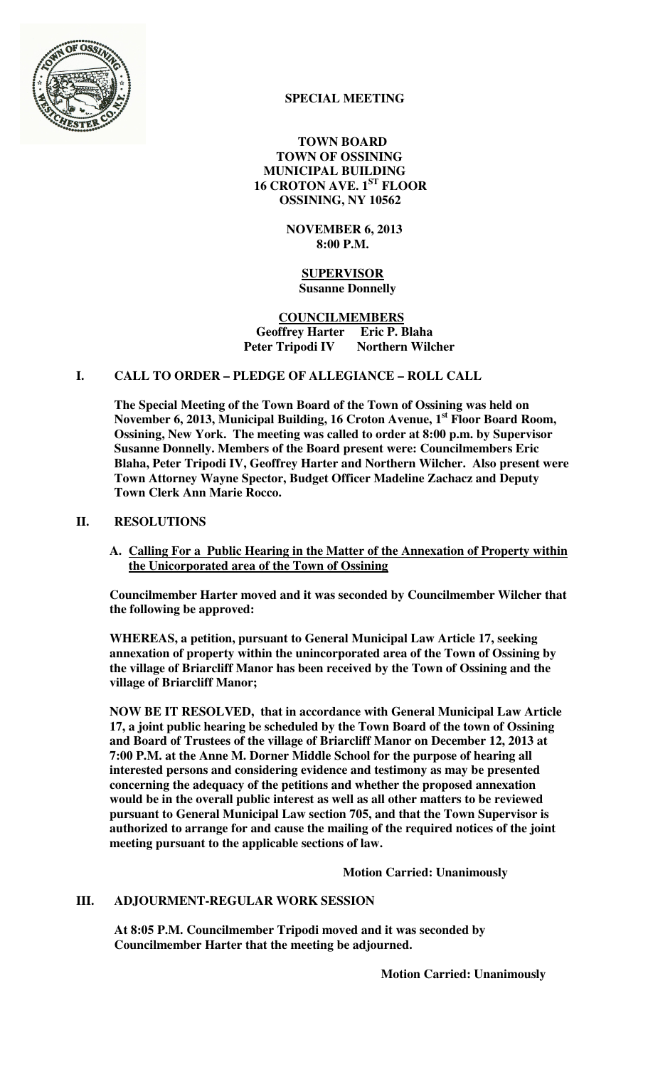

## **SPECIAL MEETING**

 **TOWN BOARD TOWN OF OSSINING MUNICIPAL BUILDING 16 CROTON AVE. 1ST FLOOR OSSINING, NY 10562** 

> **NOVEMBER 6, 2013 8:00 P.M.**

 **SUPERVISOR Susanne Donnelly** 

 **COUNCILMEMBERS Geoffrey Harter Eric P. Blaha Peter Tripodi IV Northern Wilcher** 

## **I. CALL TO ORDER – PLEDGE OF ALLEGIANCE – ROLL CALL**

**The Special Meeting of the Town Board of the Town of Ossining was held on November 6, 2013, Municipal Building, 16 Croton Avenue, 1st Floor Board Room, Ossining, New York. The meeting was called to order at 8:00 p.m. by Supervisor Susanne Donnelly. Members of the Board present were: Councilmembers Eric Blaha, Peter Tripodi IV, Geoffrey Harter and Northern Wilcher. Also present were Town Attorney Wayne Spector, Budget Officer Madeline Zachacz and Deputy Town Clerk Ann Marie Rocco.** 

## **II. RESOLUTIONS**

**A. Calling For a Public Hearing in the Matter of the Annexation of Property within the Unicorporated area of the Town of Ossining**

**Councilmember Harter moved and it was seconded by Councilmember Wilcher that the following be approved:** 

**WHEREAS, a petition, pursuant to General Municipal Law Article 17, seeking annexation of property within the unincorporated area of the Town of Ossining by the village of Briarcliff Manor has been received by the Town of Ossining and the village of Briarcliff Manor;** 

**NOW BE IT RESOLVED, that in accordance with General Municipal Law Article 17, a joint public hearing be scheduled by the Town Board of the town of Ossining and Board of Trustees of the village of Briarcliff Manor on December 12, 2013 at 7:00 P.M. at the Anne M. Dorner Middle School for the purpose of hearing all interested persons and considering evidence and testimony as may be presented concerning the adequacy of the petitions and whether the proposed annexation would be in the overall public interest as well as all other matters to be reviewed pursuant to General Municipal Law section 705, and that the Town Supervisor is authorized to arrange for and cause the mailing of the required notices of the joint meeting pursuant to the applicable sections of law.**

 **Motion Carried: Unanimously** 

## **III. ADJOURMENT-REGULAR WORK SESSION**

**At 8:05 P.M. Councilmember Tripodi moved and it was seconded by Councilmember Harter that the meeting be adjourned.**

**Motion Carried: Unanimously**